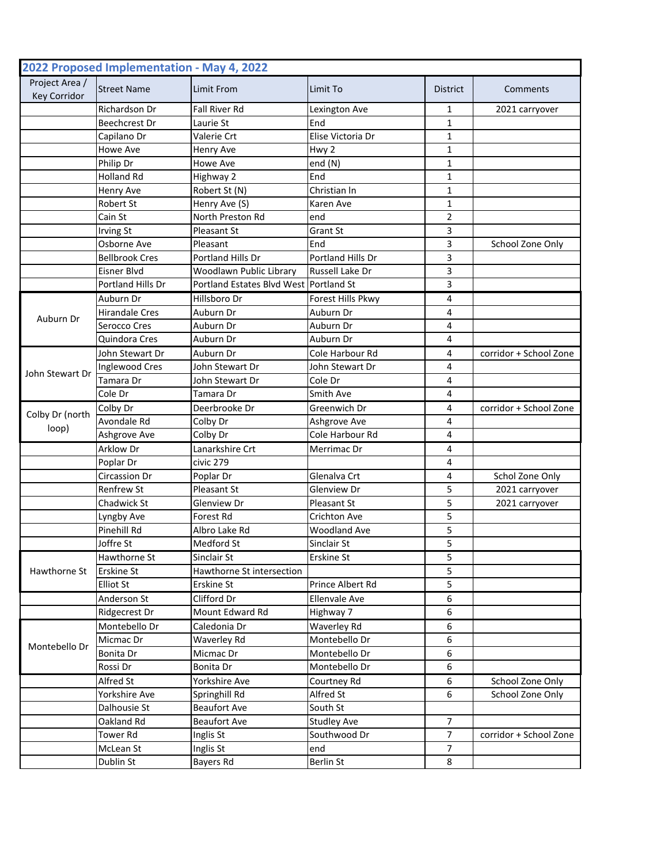|                                       | 2022 Proposed Implementation - May 4, 2022 |                                        |                        |                 |                        |
|---------------------------------------|--------------------------------------------|----------------------------------------|------------------------|-----------------|------------------------|
| Project Area /<br><b>Key Corridor</b> | <b>Street Name</b>                         | Limit From                             | Limit To               | <b>District</b> | Comments               |
|                                       | Richardson Dr                              | Fall River Rd                          | Lexington Ave          | 1               | 2021 carryover         |
|                                       | Beechcrest Dr                              | Laurie St                              | End                    | $\mathbf{1}$    |                        |
|                                       | Capilano Dr                                | Valerie Crt                            | Elise Victoria Dr      | 1               |                        |
|                                       | <b>Howe Ave</b>                            | Henry Ave                              | Hwy 2                  | 1               |                        |
|                                       | Philip Dr                                  | Howe Ave                               | end (N)                | $\mathbf{1}$    |                        |
|                                       | <b>Holland Rd</b>                          | Highway 2                              | End                    | $\mathbf{1}$    |                        |
|                                       | Henry Ave                                  | Robert St (N)                          | Christian In           | $\mathbf{1}$    |                        |
|                                       | Robert St                                  | Henry Ave (S)                          | Karen Ave              | $\mathbf{1}$    |                        |
|                                       | Cain St                                    | North Preston Rd                       | end                    | 2               |                        |
|                                       | <b>Irving St</b>                           | Pleasant St                            | Grant St               | 3               |                        |
|                                       | Osborne Ave                                | Pleasant                               | End                    | 3               | School Zone Only       |
|                                       | <b>Bellbrook Cres</b>                      | Portland Hills Dr                      | Portland Hills Dr      | 3               |                        |
|                                       | <b>Eisner Blvd</b>                         | Woodlawn Public Library                | <b>Russell Lake Dr</b> | 3               |                        |
|                                       | Portland Hills Dr                          | Portland Estates Blvd West Portland St |                        | 3               |                        |
|                                       | Auburn Dr                                  | Hillsboro Dr                           | Forest Hills Pkwy      | 4               |                        |
|                                       | <b>Hirandale Cres</b>                      | Auburn Dr                              | Auburn Dr              | 4               |                        |
| Auburn Dr                             | Serocco Cres                               | Auburn Dr                              | Auburn Dr              | 4               |                        |
|                                       | Quindora Cres                              | Auburn Dr                              | Auburn Dr              | 4               |                        |
|                                       | John Stewart Dr                            | Auburn Dr                              | Cole Harbour Rd        | 4               | corridor + School Zone |
|                                       | Inglewood Cres                             | John Stewart Dr                        | John Stewart Dr        | 4               |                        |
| John Stewart Dr                       | Tamara Dr                                  | John Stewart Dr                        | Cole Dr                | 4               |                        |
|                                       | Cole Dr                                    | Tamara Dr                              | Smith Ave              | 4               |                        |
|                                       | Colby Dr                                   | Deerbrooke Dr                          | Greenwich Dr           | 4               | corridor + School Zone |
| Colby Dr (north                       | Avondale Rd                                | Colby Dr                               | Ashgrove Ave           | 4               |                        |
| loop)                                 | Ashgrove Ave                               | Colby Dr                               | Cole Harbour Rd        | 4               |                        |
|                                       | Arklow Dr                                  | Lanarkshire Crt                        | Merrimac Dr            | 4               |                        |
|                                       | Poplar Dr                                  | civic 279                              |                        | 4               |                        |
|                                       | Circassion Dr                              | Poplar Dr                              | Glenalva Crt           | 4               | Schol Zone Only        |
|                                       | <b>Renfrew St</b>                          | Pleasant St                            | Glenview Dr            | 5               | 2021 carryover         |
|                                       | Chadwick St                                | Glenview Dr                            | Pleasant St            | 5               | 2021 carryover         |
|                                       | Lyngby Ave                                 | Forest Rd                              | Crichton Ave           | 5               |                        |
|                                       | Pinehill Rd                                | Albro Lake Rd                          | <b>Woodland Ave</b>    | 5               |                        |
|                                       | Joffre St                                  | Medford St                             | Sinclair St            | 5               |                        |
|                                       | Hawthorne St                               | Sinclair St                            | Erskine St             | 5               |                        |
| Hawthorne St                          | Erskine St                                 | Hawthorne St intersection              |                        | 5               |                        |
|                                       | <b>Elliot St</b>                           | Erskine St                             | Prince Albert Rd       | 5               |                        |
|                                       | Anderson St                                | Clifford Dr                            | <b>Ellenvale Ave</b>   | 6               |                        |
|                                       | Ridgecrest Dr                              | Mount Edward Rd                        | Highway 7              | 6               |                        |
| Montebello Dr                         | Montebello Dr                              | Caledonia Dr                           | Waverley Rd            | 6               |                        |
|                                       | Micmac Dr                                  | Waverley Rd                            | Montebello Dr          | 6               |                        |
|                                       | Bonita Dr                                  | Micmac Dr                              | Montebello Dr          | 6               |                        |
|                                       | Rossi Dr                                   | Bonita Dr                              | Montebello Dr          | 6               |                        |
|                                       | Alfred St                                  | Yorkshire Ave                          | Courtney Rd            | 6               | School Zone Only       |
|                                       | Yorkshire Ave                              | Springhill Rd                          | Alfred St              | 6               | School Zone Only       |
|                                       | Dalhousie St                               | <b>Beaufort Ave</b>                    | South St               |                 |                        |
|                                       | Oakland Rd                                 | <b>Beaufort Ave</b>                    | <b>Studley Ave</b>     | 7               |                        |
|                                       | <b>Tower Rd</b>                            | Inglis St                              | Southwood Dr           | 7               | corridor + School Zone |
|                                       | McLean St                                  | Inglis St                              | end                    | $\overline{7}$  |                        |
|                                       | Dublin St                                  | Bayers Rd                              | Berlin St              | 8               |                        |